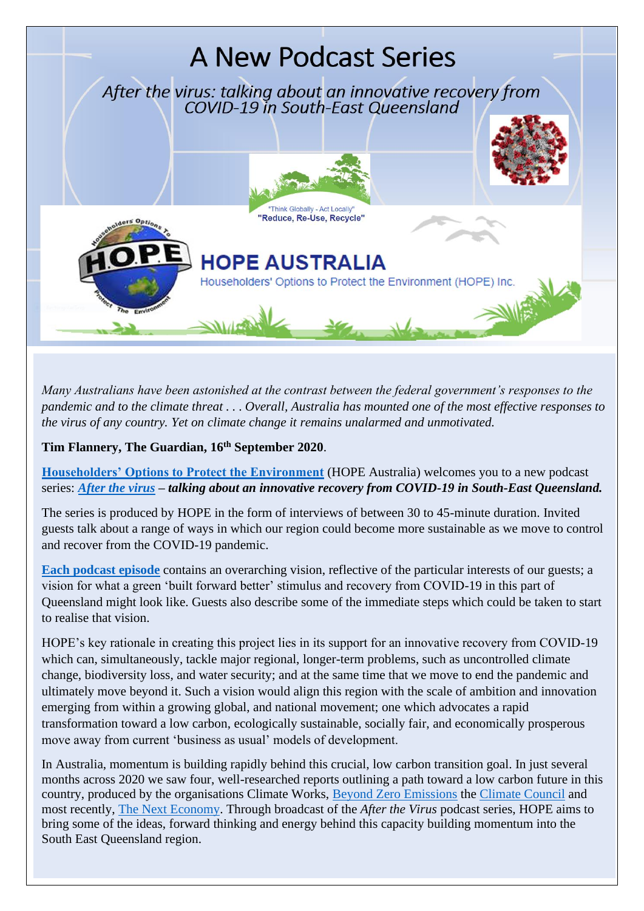

*Many Australians have been astonished at the contrast between the federal government's responses to the pandemic and to the climate threat . . . Overall, Australia has mounted one of the most effective responses to the virus of any country. Yet on climate change it remains unalarmed and unmotivated.*

**Tim Flannery, The Guardian, 16th September 2020**.

**Householders' Options to Protect the Environment** (HOPE Australia) welcomes you to a new podcast series: *After the virus – talking about an innovative recovery from COVID-19 in South-East Queensland.*

The series is produced by HOPE in the form of interviews of between 30 to 45-minute duration. Invited guests talk about a range of ways in which our region could become more sustainable as we move to control and recover from the COVID-19 pandemic.

**Each podcast episode** contains an overarching vision, reflective of the particular interests of our guests; a vision for what a green 'built forward better' stimulus and recovery from COVID-19 in this part of Queensland might look like. Guests also describe some of the immediate steps which could be taken to start to realise that vision.

HOPE's key rationale in creating this project lies in its support for an innovative recovery from COVID-19 which can, simultaneously, tackle major regional, longer-term problems, such as uncontrolled climate change, biodiversity loss, and water security; and at the same time that we move to end the pandemic and ultimately move beyond it. Such a vision would align this region with the scale of ambition and innovation emerging from within a growing global, and national movement; one which advocates a rapid transformation toward a low carbon, ecologically sustainable, socially fair, and economically prosperous move away from current 'business as usual' models of development.

In Australia, momentum is building rapidly behind this crucial, low carbon transition goal. In just several months across 2020 we saw four, well-researched reports outlining a path toward a low carbon future in this country, produced by the organisations Climate Works, Beyond Zero Emissions the Climate Council and most recently, The Next Economy. Through broadcast of the *After the Virus* podcast series, HOPE aims to bring some of the ideas, forward thinking and energy behind this capacity building momentum into the South East Queensland region.